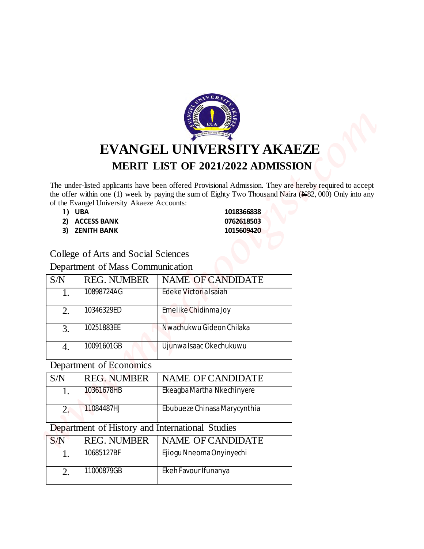

# **EVANGEL UNIVERSITY AKAEZE MERIT LIST OF 2021/2022 ADMISSION**

- 
- **2) ACCESS BANK 0762618503**
- **3) ZENITH BANK 1015609420**

#### College of Arts and Social Sciences

#### Department of Mass Communication

|                         | EVANGEL UNIVERSITY AKAEZE<br>MERIT LIST OF 2021/2022 ADMISSION                     |                                                                                                                                                                                                                                         |                                                                                                                                                                                                                             |
|-------------------------|------------------------------------------------------------------------------------|-----------------------------------------------------------------------------------------------------------------------------------------------------------------------------------------------------------------------------------------|-----------------------------------------------------------------------------------------------------------------------------------------------------------------------------------------------------------------------------|
|                         |                                                                                    |                                                                                                                                                                                                                                         |                                                                                                                                                                                                                             |
|                         |                                                                                    |                                                                                                                                                                                                                                         |                                                                                                                                                                                                                             |
|                         |                                                                                    |                                                                                                                                                                                                                                         |                                                                                                                                                                                                                             |
|                         |                                                                                    |                                                                                                                                                                                                                                         |                                                                                                                                                                                                                             |
|                         |                                                                                    |                                                                                                                                                                                                                                         |                                                                                                                                                                                                                             |
|                         |                                                                                    |                                                                                                                                                                                                                                         |                                                                                                                                                                                                                             |
|                         |                                                                                    |                                                                                                                                                                                                                                         |                                                                                                                                                                                                                             |
|                         |                                                                                    |                                                                                                                                                                                                                                         |                                                                                                                                                                                                                             |
|                         |                                                                                    |                                                                                                                                                                                                                                         |                                                                                                                                                                                                                             |
|                         |                                                                                    |                                                                                                                                                                                                                                         |                                                                                                                                                                                                                             |
| 1) UBA                  | 1018366838                                                                         |                                                                                                                                                                                                                                         |                                                                                                                                                                                                                             |
| <b>ACCESS BANK</b>      | 0762618503                                                                         |                                                                                                                                                                                                                                         |                                                                                                                                                                                                                             |
|                         |                                                                                    |                                                                                                                                                                                                                                         |                                                                                                                                                                                                                             |
|                         |                                                                                    |                                                                                                                                                                                                                                         |                                                                                                                                                                                                                             |
|                         |                                                                                    |                                                                                                                                                                                                                                         |                                                                                                                                                                                                                             |
|                         |                                                                                    |                                                                                                                                                                                                                                         |                                                                                                                                                                                                                             |
| 10898724AG              | Edeke Victoria Isaiah                                                              |                                                                                                                                                                                                                                         |                                                                                                                                                                                                                             |
|                         |                                                                                    |                                                                                                                                                                                                                                         |                                                                                                                                                                                                                             |
|                         |                                                                                    |                                                                                                                                                                                                                                         |                                                                                                                                                                                                                             |
|                         |                                                                                    |                                                                                                                                                                                                                                         |                                                                                                                                                                                                                             |
|                         |                                                                                    |                                                                                                                                                                                                                                         |                                                                                                                                                                                                                             |
| Department of Economics |                                                                                    |                                                                                                                                                                                                                                         |                                                                                                                                                                                                                             |
| <b>REG. NUMBER</b>      | NAME OF CANDIDATE                                                                  |                                                                                                                                                                                                                                         |                                                                                                                                                                                                                             |
| 10361678HB              | Ekeagba Martha Nkechinyere                                                         |                                                                                                                                                                                                                                         |                                                                                                                                                                                                                             |
| 11084487HJ              | Ebubueze Chinasa Marycynthia                                                       |                                                                                                                                                                                                                                         |                                                                                                                                                                                                                             |
|                         | Department of History and International Studies                                    |                                                                                                                                                                                                                                         |                                                                                                                                                                                                                             |
| <b>REG. NUMBER</b>      | NAME OF CANDIDATE                                                                  |                                                                                                                                                                                                                                         |                                                                                                                                                                                                                             |
|                         | Ejiogu Nneoma Onyinyechi                                                           |                                                                                                                                                                                                                                         |                                                                                                                                                                                                                             |
| 10685127BF              |                                                                                    |                                                                                                                                                                                                                                         |                                                                                                                                                                                                                             |
|                         | <b>ZENITH BANK</b><br><b>REG. NUMBER</b><br>10346329ED<br>10251883EE<br>10091601GB | of the Evangel University Akaeze Accounts:<br>1015609420<br>College of Arts and Social Sciences<br>Department of Mass Communication<br>NAME OF CANDIDATE<br>Emelike Chidinma Joy<br>Nwachukwu Gideon Chilaka<br>Ujunwa Isaac Okechukuwu | The under-listed applicants have been offered Provisional Admission. They are hereby required to accept<br>the offer within one (1) week by paying the sum of Eighty Two Thousand Naira $(\frac{N}{82}, 000)$ Only into any |

#### Department of Economics

| S/N | <b>REG. NUMBER</b> | <b>NAME OF CANDIDATE</b>     |
|-----|--------------------|------------------------------|
|     | 10361678HB         | Ekeagba Martha Nkechinyere   |
|     | 11084487HJ         | Ebubueze Chinasa Marycynthia |

#### Department of History and International Studies

| S/N | <b>REG. NUMBER</b> | NAME OF CANDIDATE        |
|-----|--------------------|--------------------------|
|     | 10685127BF         | Ejiogu Nneoma Onyinyechi |
| ∠.  | 11000879GB         | Ekeh Favour Ifunanya     |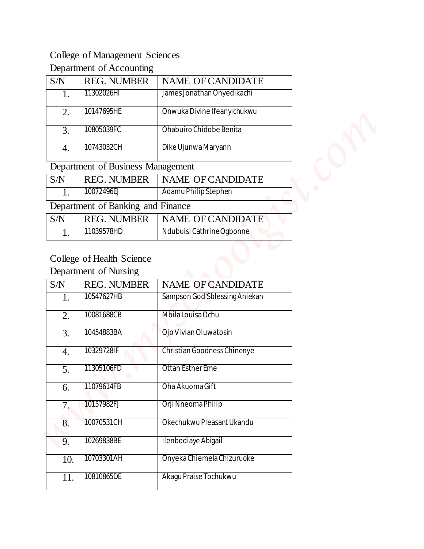### College of Management Sciences

### Department of Accounting

| S/N | <b>REG. NUMBER</b> | <b>NAME OF CANDIDATE</b>    |
|-----|--------------------|-----------------------------|
|     | 11302026HI         | James Jonathan Onyedikachi  |
| 2.  | 10147695HE         | Onwuka Divine Ifeanyichukwu |
| 3.  | 10805039FC         | Ohabuiro Chidobe Benita     |
|     | 10743032CH         | Dike Ujunwa Maryann         |

### Department of Business Management

| S/N | <b>REG. NUMBER</b>                | NAME OF CANDIDATE         |  |
|-----|-----------------------------------|---------------------------|--|
|     | 10072496EJ                        | Adamu Philip Stephen      |  |
|     | Department of Banking and Finance |                           |  |
| S/N | <b>REG. NUMBER</b>                | <b>NAME OF CANDIDATE</b>  |  |
|     | 11039578HD                        | Ndubuisi Cathrine Ogbonne |  |

### College of Health Science

#### Department of Nursing

| <b>College of Management Sciences</b><br>Department of Accounting<br><b>REG. NUMBER</b><br>S/N<br>NAME OF CANDIDATE<br>11302026HI<br>James Jonathan Onyedikachi<br>1.<br>10147695HE<br>Onwuka Divine Ifeanyichukwu<br>2.<br>10805039FC<br>Ohabuiro Chidobe Benita<br>3.<br>10743032CH<br>Dike Ujunwa Maryann<br>$\overline{4}$ .<br>Department of Business Management<br><b>REG. NUMBER</b><br>S/N<br>NAME OF CANDIDATE<br>10072496EJ<br>Adamu Philip Stephen<br>1.<br>Department of Banking and Finance<br><b>REG. NUMBER</b><br>NAME OF CANDIDATE<br>S/N<br>Ndubuisi Cathrine Ogbonne<br>11039578HD<br>1.<br>College of Health Science<br>Department of Nursing<br>S/N<br><b>REG. NUMBER</b><br>NAME OF CANDIDATE<br>Sampson God'Sblessing Aniekan<br>10547627HB<br>1.<br>Mbila Louisa Ochu<br>10081688CB<br>2.<br>10454883BA<br>Ojo Vivian Oluwatosin<br>3.<br>10329728IF<br>Christian Goodness Chinenye<br>4.<br>Ottah Esther Eme<br>11305106FD<br>$\overline{5}$ .<br>11079614FB<br>Oha Akuoma Gift<br>6.<br>Orji Nneoma Philip<br>10157982FJ<br>7.<br>Okechukwu Pleasant Ukandu<br>10070531CH<br>8.<br>10269838BE<br>Ilenbodiaye Abigail<br>9.<br>10703301AH<br>Onyeka Chiemela Chizuruoke<br>10.<br>Akagu Praise Tochukwu<br>10810865DE<br>11. |  |  |  |
|-------------------------------------------------------------------------------------------------------------------------------------------------------------------------------------------------------------------------------------------------------------------------------------------------------------------------------------------------------------------------------------------------------------------------------------------------------------------------------------------------------------------------------------------------------------------------------------------------------------------------------------------------------------------------------------------------------------------------------------------------------------------------------------------------------------------------------------------------------------------------------------------------------------------------------------------------------------------------------------------------------------------------------------------------------------------------------------------------------------------------------------------------------------------------------------------------------------------------------------------------------|--|--|--|
|                                                                                                                                                                                                                                                                                                                                                                                                                                                                                                                                                                                                                                                                                                                                                                                                                                                                                                                                                                                                                                                                                                                                                                                                                                                       |  |  |  |
|                                                                                                                                                                                                                                                                                                                                                                                                                                                                                                                                                                                                                                                                                                                                                                                                                                                                                                                                                                                                                                                                                                                                                                                                                                                       |  |  |  |
|                                                                                                                                                                                                                                                                                                                                                                                                                                                                                                                                                                                                                                                                                                                                                                                                                                                                                                                                                                                                                                                                                                                                                                                                                                                       |  |  |  |
|                                                                                                                                                                                                                                                                                                                                                                                                                                                                                                                                                                                                                                                                                                                                                                                                                                                                                                                                                                                                                                                                                                                                                                                                                                                       |  |  |  |
|                                                                                                                                                                                                                                                                                                                                                                                                                                                                                                                                                                                                                                                                                                                                                                                                                                                                                                                                                                                                                                                                                                                                                                                                                                                       |  |  |  |
|                                                                                                                                                                                                                                                                                                                                                                                                                                                                                                                                                                                                                                                                                                                                                                                                                                                                                                                                                                                                                                                                                                                                                                                                                                                       |  |  |  |
|                                                                                                                                                                                                                                                                                                                                                                                                                                                                                                                                                                                                                                                                                                                                                                                                                                                                                                                                                                                                                                                                                                                                                                                                                                                       |  |  |  |
|                                                                                                                                                                                                                                                                                                                                                                                                                                                                                                                                                                                                                                                                                                                                                                                                                                                                                                                                                                                                                                                                                                                                                                                                                                                       |  |  |  |
|                                                                                                                                                                                                                                                                                                                                                                                                                                                                                                                                                                                                                                                                                                                                                                                                                                                                                                                                                                                                                                                                                                                                                                                                                                                       |  |  |  |
|                                                                                                                                                                                                                                                                                                                                                                                                                                                                                                                                                                                                                                                                                                                                                                                                                                                                                                                                                                                                                                                                                                                                                                                                                                                       |  |  |  |
|                                                                                                                                                                                                                                                                                                                                                                                                                                                                                                                                                                                                                                                                                                                                                                                                                                                                                                                                                                                                                                                                                                                                                                                                                                                       |  |  |  |
|                                                                                                                                                                                                                                                                                                                                                                                                                                                                                                                                                                                                                                                                                                                                                                                                                                                                                                                                                                                                                                                                                                                                                                                                                                                       |  |  |  |
|                                                                                                                                                                                                                                                                                                                                                                                                                                                                                                                                                                                                                                                                                                                                                                                                                                                                                                                                                                                                                                                                                                                                                                                                                                                       |  |  |  |
|                                                                                                                                                                                                                                                                                                                                                                                                                                                                                                                                                                                                                                                                                                                                                                                                                                                                                                                                                                                                                                                                                                                                                                                                                                                       |  |  |  |
|                                                                                                                                                                                                                                                                                                                                                                                                                                                                                                                                                                                                                                                                                                                                                                                                                                                                                                                                                                                                                                                                                                                                                                                                                                                       |  |  |  |
|                                                                                                                                                                                                                                                                                                                                                                                                                                                                                                                                                                                                                                                                                                                                                                                                                                                                                                                                                                                                                                                                                                                                                                                                                                                       |  |  |  |
|                                                                                                                                                                                                                                                                                                                                                                                                                                                                                                                                                                                                                                                                                                                                                                                                                                                                                                                                                                                                                                                                                                                                                                                                                                                       |  |  |  |
|                                                                                                                                                                                                                                                                                                                                                                                                                                                                                                                                                                                                                                                                                                                                                                                                                                                                                                                                                                                                                                                                                                                                                                                                                                                       |  |  |  |
|                                                                                                                                                                                                                                                                                                                                                                                                                                                                                                                                                                                                                                                                                                                                                                                                                                                                                                                                                                                                                                                                                                                                                                                                                                                       |  |  |  |
|                                                                                                                                                                                                                                                                                                                                                                                                                                                                                                                                                                                                                                                                                                                                                                                                                                                                                                                                                                                                                                                                                                                                                                                                                                                       |  |  |  |
|                                                                                                                                                                                                                                                                                                                                                                                                                                                                                                                                                                                                                                                                                                                                                                                                                                                                                                                                                                                                                                                                                                                                                                                                                                                       |  |  |  |
|                                                                                                                                                                                                                                                                                                                                                                                                                                                                                                                                                                                                                                                                                                                                                                                                                                                                                                                                                                                                                                                                                                                                                                                                                                                       |  |  |  |
|                                                                                                                                                                                                                                                                                                                                                                                                                                                                                                                                                                                                                                                                                                                                                                                                                                                                                                                                                                                                                                                                                                                                                                                                                                                       |  |  |  |
|                                                                                                                                                                                                                                                                                                                                                                                                                                                                                                                                                                                                                                                                                                                                                                                                                                                                                                                                                                                                                                                                                                                                                                                                                                                       |  |  |  |
|                                                                                                                                                                                                                                                                                                                                                                                                                                                                                                                                                                                                                                                                                                                                                                                                                                                                                                                                                                                                                                                                                                                                                                                                                                                       |  |  |  |
|                                                                                                                                                                                                                                                                                                                                                                                                                                                                                                                                                                                                                                                                                                                                                                                                                                                                                                                                                                                                                                                                                                                                                                                                                                                       |  |  |  |
|                                                                                                                                                                                                                                                                                                                                                                                                                                                                                                                                                                                                                                                                                                                                                                                                                                                                                                                                                                                                                                                                                                                                                                                                                                                       |  |  |  |
|                                                                                                                                                                                                                                                                                                                                                                                                                                                                                                                                                                                                                                                                                                                                                                                                                                                                                                                                                                                                                                                                                                                                                                                                                                                       |  |  |  |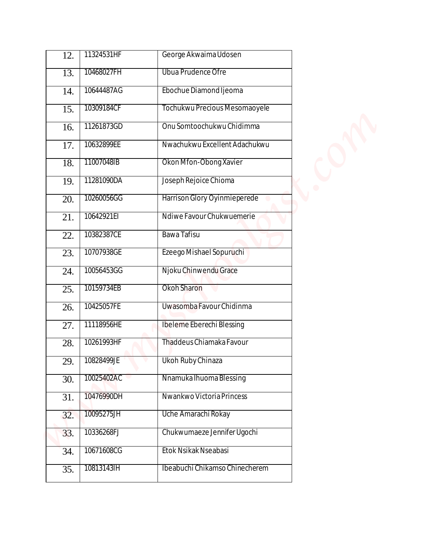| 12.               | 11324531HF | George Akwaima Udosen          |  |
|-------------------|------------|--------------------------------|--|
| 13.               | 10468027FH | Ubua Prudence Ofre             |  |
| 14.               | 10644487AG | Ebochue Diamond Ijeoma         |  |
| 15.               | 10309184CF | Tochukwu Precious Mesomaoyele  |  |
| 16.               | 11261873GD | Onu Somtoochukwu Chidimma      |  |
| 17.               | 10632899EE | Nwachukwu Excellent Adachukwu  |  |
| 18.               | 11007048IB | Okon Mfon-Obong Xavier         |  |
| 19.               | 11281090DA | Joseph Rejoice Chioma          |  |
| 20.               | 10260056GG | Harrison Glory Oyinmieperede   |  |
| 21.               | 10642921EI | Ndiwe Favour Chukwuemerie      |  |
| 22.               | 10382387CE | Bawa Tafisu                    |  |
| 23.               | 10707938GE | Ezeego Mishael Sopuruchi       |  |
| 24.               | 10056453GG | Njoku Chinwendu Grace          |  |
| 25.               | 10159734EB | Okoh Sharon                    |  |
| 26.               | 10425057FE | Uwasomba Favour Chidinma       |  |
| 27.               | 11118956HE | Ibeleme Eberechi Blessing      |  |
| 28.               | 10261993HF | Thaddeus Chiamaka Favour       |  |
| 29.               | 10828499JE | Ukoh Ruby Chinaza              |  |
| $\overline{30}$ . | 10025402AC | Nnamuka Ihuoma Blessing        |  |
| 31.               | 10476990DH | Nwankwo Victoria Princess      |  |
| 32.               | 10095275JH | Uche Amarachi Rokay            |  |
| 33.               | 10336268FJ | Chukwumaeze Jennifer Ugochi    |  |
| 34.               | 10671608CG | Etok Nsikak Nseabasi           |  |
| 35.               | 10813143IH | Ibeabuchi Chikamso Chinecherem |  |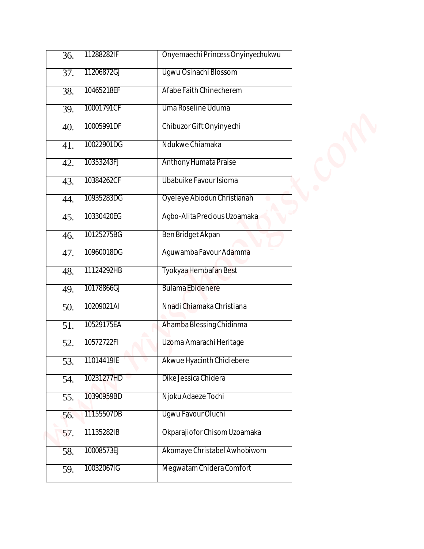| 36. | 11288282IF | Onyemaechi Princess Onyinyechukwu |  |
|-----|------------|-----------------------------------|--|
| 37. | 11206872GJ | Ugwu Osinachi Blossom             |  |
| 38. | 10465218EF | Afabe Faith Chinecherem           |  |
| 39. | 10001791CF | Uma Roseline Uduma                |  |
| 40. | 10005991DF | Chibuzor Gift Onyinyechi          |  |
| 41. | 10022901DG | Ndukwe Chiamaka                   |  |
| 42. | 10353243FJ | Anthony Humata Praise             |  |
| 43. | 10384262CF | Ubabuike Favour Isioma            |  |
| 44. | 10935283DG | Oyeleye Abiodun Christianah       |  |
| 45. | 10330420EG | Agbo-Alita Precious Uzoamaka      |  |
| 46. | 10125275BG | Ben Bridget Akpan                 |  |
| 47. | 10960018DG | Aguwamba Favour Adamma            |  |
| 48. | 11124292HB | Tyokyaa Hembafan Best             |  |
| 49. | 10178866GJ | <b>Bulama Ebidenere</b>           |  |
| 50. | 10209021AI | Nnadi Chiamaka Christiana         |  |
| 51. | 10529175EA | Ahamba Blessing Chidinma          |  |
| 52. | 10572722FI | Uzoma Amarachi Heritage           |  |
| 53. | 11014419IE | Akwue Hyacinth Chidiebere         |  |
| 54. | 10231277HD | Dike Jessica Chidera              |  |
| 55. | 10390959BD | Njoku Adaeze Tochi                |  |
| 56. | 11155507DB | Ugwu Favour Oluchi                |  |
| 57. | 11135282IB | Okparajiofor Chisom Uzoamaka      |  |
| 58. | 10008573EJ | Akomaye Christabel Awhobiwom      |  |
| 59. | 10032067IG | Megwatam Chidera Comfort          |  |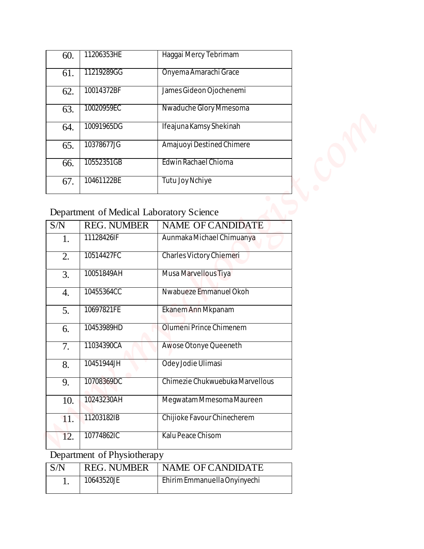| 60. | 11206353HE | Haqqai Mercy Tebrimam     |
|-----|------------|---------------------------|
| 61. | 11219289GG | Onyema Amarachi Grace     |
| 62. | 10014372BF | James Gideon Ojochenemi   |
| 63. | 10020959EC | Nwaduche Glory Mmesoma    |
| 64. | 10091965DG | Ifeajuna Kamsy Shekinah   |
| 65. | 10378677JG | Amajuoyi Destined Chimere |
| 66. | 10552351GB | Edwin Rachael Chioma      |
| 67. | 10461122BE | Tutu Joy Nchiye           |

# Department of Medical Laboratory Science

| 60.              | 11206353HE                                                     | Haggai Mercy Tebrimam           |  |
|------------------|----------------------------------------------------------------|---------------------------------|--|
| 61.              | 11219289GG                                                     | Onyema Amarachi Grace           |  |
| 62.              | 10014372BF                                                     | James Gideon Ojochenemi         |  |
| 63.              | 10020959EC                                                     | Nwaduche Glory Mmesoma          |  |
| 64.              | 10091965DG                                                     | Ifeajuna Kamsy Shekinah         |  |
| 65.              | 10378677JG                                                     | Amajuoyi Destined Chimere       |  |
| 66.              | 10552351GB                                                     | Edwin Rachael Chioma            |  |
| 67.              | 10461122BE                                                     | Tutu Joy Nchiye                 |  |
|                  |                                                                |                                 |  |
| S/N              | Department of Medical Laboratory Science<br><b>REG. NUMBER</b> | <b>NAME OF CANDIDATE</b>        |  |
| 1.               | 11128426IF                                                     | Aunmaka Michael Chimuanya       |  |
| $\overline{2}$ . | 10514427FC                                                     | Charles Victory Chiemeri        |  |
| 3.               | 10051849AH                                                     | Musa Marvellous Tiya            |  |
| $\overline{4}$ . | 10455364CC                                                     | Nwabueze Emmanuel Okoh          |  |
| 5.               | 10697821FE                                                     | Ekanem Ann Mkpanam              |  |
| 6.               | 10453989HD                                                     | Olumeni Prince Chimenem         |  |
| $\overline{7}$ . | 11034390CA                                                     | Awose Otonye Queeneth           |  |
| 8.               | 10451944JH                                                     | Odey Jodie Ulimasi              |  |
| 9.               | 10708369DC                                                     | Chimezie Chukwuebuka Marvellous |  |
| 10.              | 10243230AH                                                     | Megwatam Mmesoma Maureen        |  |
| 11.              | 11203182IB                                                     | Chijioke Favour Chinecherem     |  |
| 12.              | 10774862IC                                                     | Kalu Peace Chisom               |  |
|                  | Department of Physiotherapy                                    |                                 |  |
|                  | <b>REG. NUMBER</b>                                             | <b>NAME OF CANDIDATE</b>        |  |
| S/N              |                                                                |                                 |  |

# Department of Physiotherapy

| S/N |            | REG. NUMBER   NAME OF CANDIDATE |
|-----|------------|---------------------------------|
|     | 10643520JE | Ehirim Emmanuella Onyinyechi    |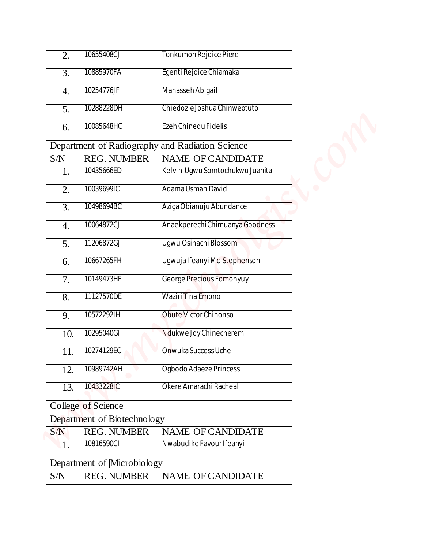| 2. | 10655408CJ | Tonkumoh Rejoice Piere       |
|----|------------|------------------------------|
| 3. | 10885970FA | Egenti Rejoice Chiamaka      |
| 4. | 10254776JF | Manasseh Abigail             |
| 5. | 10288228DH | Chiedozie Joshua Chinweotuto |
| 6. | 10085648HC | Ezeh Chinedu Fidelis         |

| 2.               | 10655408CJ                  | Tonkumoh Rejoice Piere                          |  |
|------------------|-----------------------------|-------------------------------------------------|--|
| 3.               | 10885970FA                  | Egenti Rejoice Chiamaka                         |  |
| $\overline{4}$ . | 10254776JF                  | Manasseh Abigail                                |  |
| 5.               | 10288228DH                  | Chiedozie Joshua Chinweotuto                    |  |
| 6.               | 10085648HC                  | Ezeh Chinedu Fidelis                            |  |
|                  |                             | Department of Radiography and Radiation Science |  |
| S/N              | <b>REG. NUMBER</b>          | NAME OF CANDIDATE                               |  |
| 1.               | 10435666ED                  | Kelvin-Ugwu Somtochukwu Juanita                 |  |
| 2.               | 10039699IC                  | Adama Usman David                               |  |
| $\overline{3}$ . | 10498694BC                  | Aziga Obianuju Abundance                        |  |
| $\overline{4}$ . | 10064872CJ                  | Anaekperechi Chimuanya Goodness                 |  |
| 5.               | 11206872GJ                  | Ugwu Osinachi Blossom                           |  |
| 6.               | 10667265FH                  | Ugwuja Ifeanyi Mc-Stephenson                    |  |
| 7.               | 10149473HF                  | George Precious Fomonyuy                        |  |
| $\overline{8}$ . | 11127570DE                  | Waziri Tina Emono                               |  |
| 9.               | 10572292IH                  | Obute Victor Chinonso                           |  |
| 10.              | 10295040GI                  | Ndukwe Joy Chinecherem                          |  |
| 11.              | 10274129EC                  | Onwuka Success Uche                             |  |
| 12.              | 10989742AH                  | Ogbodo Adaeze Princess                          |  |
| 13.              | 10433228IC                  | Okere Amarachi Racheal                          |  |
|                  | College of Science          |                                                 |  |
|                  | Department of Biotechnology |                                                 |  |
| S/N              | <b>REG. NUMBER</b>          | NAME OF CANDIDATE                               |  |
| $\overline{1}$ . | 10816590CI                  | Nwabudike Favour Ifeanyi                        |  |
|                  | Department of Microbiology  |                                                 |  |
| S/N              | <b>REG. NUMBER</b>          | NAME OF CANDIDATE                               |  |

## Department of Biotechnology

| $\mathsf{S/N}$             | <b>REG. NUMBER</b> | NAME OF CANDIDATE        |  |  |  |  |
|----------------------------|--------------------|--------------------------|--|--|--|--|
|                            | 10816590CI         | Nwabudike Favour Ifeanyi |  |  |  |  |
| Department of Microbiology |                    |                          |  |  |  |  |
| S/N                        | <b>REG. NUMBER</b> | <b>NAME OF CANDIDATE</b> |  |  |  |  |